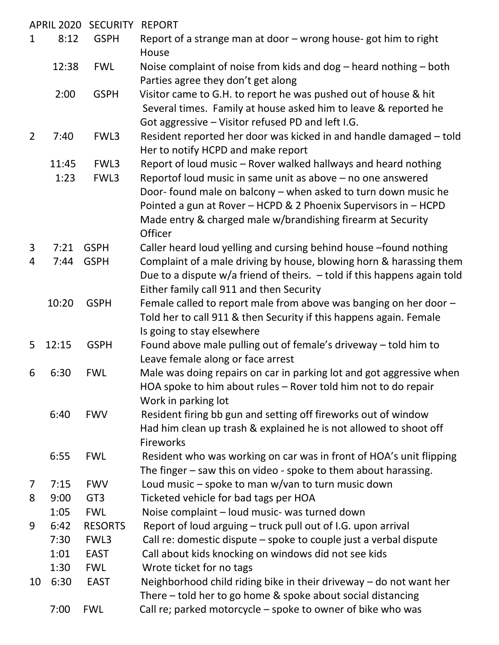| APRIL 2020 SECURITY |       |                 | <b>REPORT</b>                                                                                                                                                                                                                                                              |
|---------------------|-------|-----------------|----------------------------------------------------------------------------------------------------------------------------------------------------------------------------------------------------------------------------------------------------------------------------|
| $\mathbf{1}$        | 8:12  | <b>GSPH</b>     | Report of a strange man at door - wrong house- got him to right<br>House                                                                                                                                                                                                   |
|                     | 12:38 | <b>FWL</b>      | Noise complaint of noise from kids and dog $-$ heard nothing $-$ both<br>Parties agree they don't get along                                                                                                                                                                |
|                     | 2:00  | <b>GSPH</b>     | Visitor came to G.H. to report he was pushed out of house & hit<br>Several times. Family at house asked him to leave & reported he<br>Got aggressive - Visitor refused PD and left I.G.                                                                                    |
| 2                   | 7:40  | FWL3            | Resident reported her door was kicked in and handle damaged – told<br>Her to notify HCPD and make report                                                                                                                                                                   |
|                     | 11:45 | FWL3            | Report of loud music - Rover walked hallways and heard nothing                                                                                                                                                                                                             |
|                     | 1:23  | FWL3            | Reportof loud music in same unit as above - no one answered<br>Door- found male on balcony - when asked to turn down music he<br>Pointed a gun at Rover - HCPD & 2 Phoenix Supervisors in - HCPD<br>Made entry & charged male w/brandishing firearm at Security<br>Officer |
| 3                   | 7:21  | <b>GSPH</b>     | Caller heard loud yelling and cursing behind house -found nothing                                                                                                                                                                                                          |
| 4                   | 7:44  | <b>GSPH</b>     | Complaint of a male driving by house, blowing horn & harassing them<br>Due to a dispute $w/a$ friend of theirs. $-$ told if this happens again told<br>Either family call 911 and then Security                                                                            |
|                     | 10:20 | <b>GSPH</b>     | Female called to report male from above was banging on her door -<br>Told her to call 911 & then Security if this happens again. Female<br>Is going to stay elsewhere                                                                                                      |
| 5                   | 12:15 | <b>GSPH</b>     | Found above male pulling out of female's driveway - told him to<br>Leave female along or face arrest                                                                                                                                                                       |
| 6                   | 6:30  | <b>FWL</b>      | Male was doing repairs on car in parking lot and got aggressive when<br>HOA spoke to him about rules – Rover told him not to do repair<br>Work in parking lot                                                                                                              |
|                     | 6:40  | <b>FWV</b>      | Resident firing bb gun and setting off fireworks out of window<br>Had him clean up trash & explained he is not allowed to shoot off<br><b>Fireworks</b>                                                                                                                    |
|                     | 6:55  | <b>FWL</b>      | Resident who was working on car was in front of HOA's unit flipping<br>The finger – saw this on video - spoke to them about harassing.                                                                                                                                     |
| 7                   | 7:15  | <b>FWV</b>      | Loud music $-$ spoke to man w/van to turn music down                                                                                                                                                                                                                       |
| 8                   | 9:00  | GT <sub>3</sub> | Ticketed vehicle for bad tags per HOA                                                                                                                                                                                                                                      |
|                     | 1:05  | <b>FWL</b>      | Noise complaint - loud music- was turned down                                                                                                                                                                                                                              |
| 9                   | 6:42  | <b>RESORTS</b>  | Report of loud arguing - truck pull out of I.G. upon arrival                                                                                                                                                                                                               |
|                     | 7:30  | FWL3            | Call re: domestic dispute – spoke to couple just a verbal dispute                                                                                                                                                                                                          |
|                     | 1:01  | <b>EAST</b>     | Call about kids knocking on windows did not see kids                                                                                                                                                                                                                       |
|                     | 1:30  | <b>FWL</b>      | Wrote ticket for no tags                                                                                                                                                                                                                                                   |
| 10                  | 6:30  | <b>EAST</b>     | Neighborhood child riding bike in their driveway $-$ do not want her<br>There – told her to go home & spoke about social distancing                                                                                                                                        |
|                     | 7:00  | <b>FWL</b>      | Call re; parked motorcycle - spoke to owner of bike who was                                                                                                                                                                                                                |